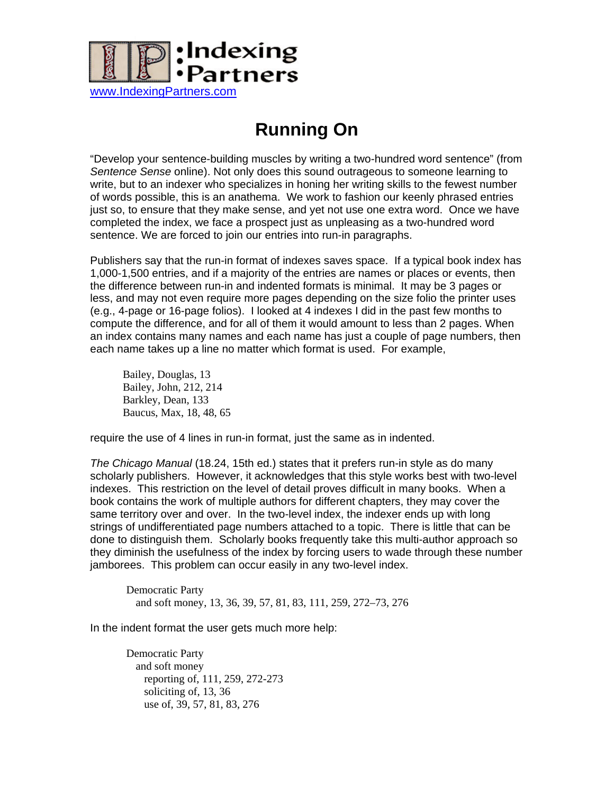

## **Running On**

"Develop your sentence-building muscles by writing a two-hundred word sentence" (from *Sentence Sense* online). Not only does this sound outrageous to someone learning to write, but to an indexer who specializes in honing her writing skills to the fewest number of words possible, this is an anathema. We work to fashion our keenly phrased entries just so, to ensure that they make sense, and yet not use one extra word. Once we have completed the index, we face a prospect just as unpleasing as a two-hundred word sentence. We are forced to join our entries into run-in paragraphs.

Publishers say that the run-in format of indexes saves space. If a typical book index has 1,000-1,500 entries, and if a majority of the entries are names or places or events, then the difference between run-in and indented formats is minimal. It may be 3 pages or less, and may not even require more pages depending on the size folio the printer uses (e.g., 4-page or 16-page folios). I looked at 4 indexes I did in the past few months to compute the difference, and for all of them it would amount to less than 2 pages. When an index contains many names and each name has just a couple of page numbers, then each name takes up a line no matter which format is used. For example,

Bailey, Douglas, 13 Bailey, John, 212, 214 Barkley, Dean, 133 Baucus, Max, 18, 48, 65

require the use of 4 lines in run-in format, just the same as in indented.

*The Chicago Manual* (18.24, 15th ed.) states that it prefers run-in style as do many scholarly publishers. However, it acknowledges that this style works best with two-level indexes. This restriction on the level of detail proves difficult in many books. When a book contains the work of multiple authors for different chapters, they may cover the same territory over and over. In the two-level index, the indexer ends up with long strings of undifferentiated page numbers attached to a topic. There is little that can be done to distinguish them. Scholarly books frequently take this multi-author approach so they diminish the usefulness of the index by forcing users to wade through these number jamborees. This problem can occur easily in any two-level index.

Democratic Party and soft money, 13, 36, 39, 57, 81, 83, 111, 259, 272–73, 276

In the indent format the user gets much more help:

Democratic Party and soft money reporting of, 111, 259, 272-273 soliciting of, 13, 36 use of, 39, 57, 81, 83, 276